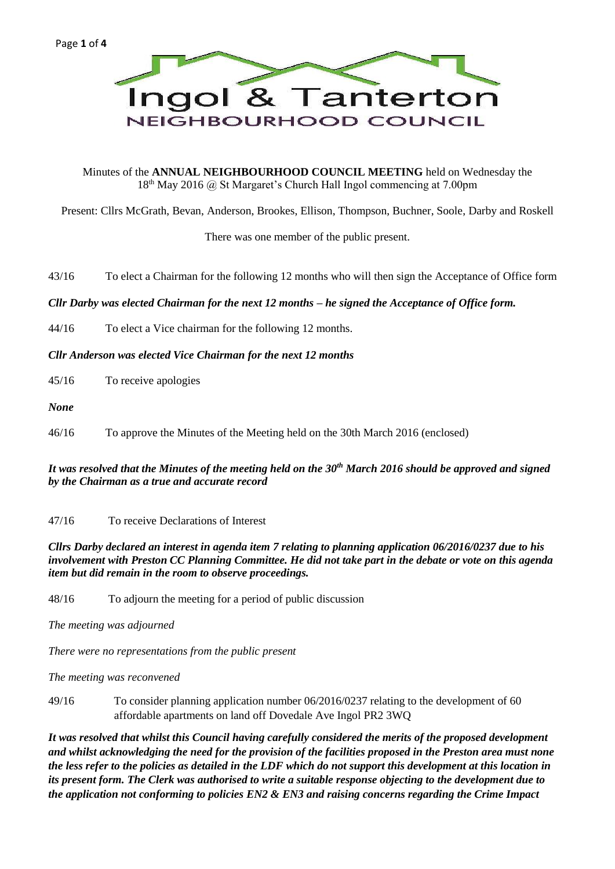

Minutes of the **ANNUAL NEIGHBOURHOOD COUNCIL MEETING** held on Wednesday the  $18<sup>th</sup>$  May 2016 @ St Margaret's Church Hall Ingol commencing at 7.00pm

Present: Cllrs McGrath, Bevan, Anderson, Brookes, Ellison, Thompson, Buchner, Soole, Darby and Roskell

There was one member of the public present.

43/16 To elect a Chairman for the following 12 months who will then sign the Acceptance of Office form

# *Cllr Darby was elected Chairman for the next 12 months – he signed the Acceptance of Office form.*

- 44/16 To elect a Vice chairman for the following 12 months.
- *Cllr Anderson was elected Vice Chairman for the next 12 months*
- 45/16 To receive apologies
- *None*
- 46/16 To approve the Minutes of the Meeting held on the 30th March 2016 (enclosed)

# *It was resolved that the Minutes of the meeting held on the 30th March 2016 should be approved and signed by the Chairman as a true and accurate record*

47/16 To receive Declarations of Interest

### *Cllrs Darby declared an interest in agenda item 7 relating to planning application 06/2016/0237 due to his involvement with Preston CC Planning Committee. He did not take part in the debate or vote on this agenda item but did remain in the room to observe proceedings.*

48/16 To adjourn the meeting for a period of public discussion

*The meeting was adjourned* 

*There were no representations from the public present*

*The meeting was reconvened*

49/16 To consider planning application number 06/2016/0237 relating to the development of 60 affordable apartments on land off Dovedale Ave Ingol PR2 3WQ

*It was resolved that whilst this Council having carefully considered the merits of the proposed development and whilst acknowledging the need for the provision of the facilities proposed in the Preston area must none the less refer to the policies as detailed in the LDF which do not support this development at this location in its present form. The Clerk was authorised to write a suitable response objecting to the development due to the application not conforming to policies EN2 & EN3 and raising concerns regarding the Crime Impact*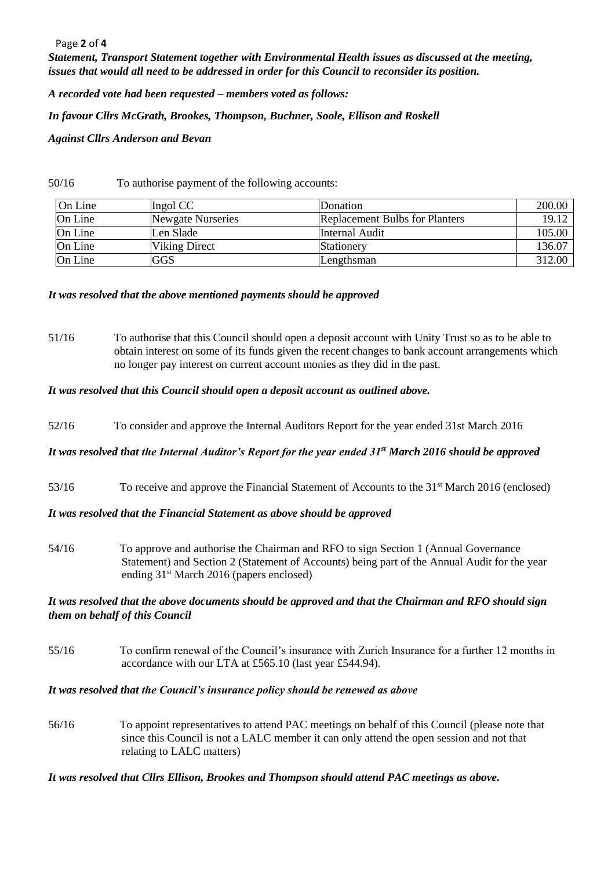#### Page **2** of **4**

*Statement, Transport Statement together with Environmental Health issues as discussed at the meeting, issues that would all need to be addressed in order for this Council to reconsider its position.*

*A recorded vote had been requested – members voted as follows:*

*In favour Cllrs McGrath, Brookes, Thompson, Buchner, Soole, Ellison and Roskell*

*Against Cllrs Anderson and Bevan*

50/16 To authorise payment of the following accounts:

| On Line | Ingol CC                 | Donation                              | 200.00 |
|---------|--------------------------|---------------------------------------|--------|
| On Line | <b>Newgate Nurseries</b> | <b>Replacement Bulbs for Planters</b> | 19.12  |
| On Line | Len Slade                | Internal Audit                        | 105.00 |
| On Line | Viking Direct            | Stationery                            | 136.07 |
| On Line | <b>IGGS</b>              | Lengthsman                            | 312.00 |

## *It was resolved that the above mentioned payments should be approved*

51/16 To authorise that this Council should open a deposit account with Unity Trust so as to be able to obtain interest on some of its funds given the recent changes to bank account arrangements which no longer pay interest on current account monies as they did in the past.

## *It was resolved that this Council should open a deposit account as outlined above.*

52/16 To consider and approve the Internal Auditors Report for the year ended 31st March 2016

# *It was resolved that the Internal Auditor's Report for the year ended 31st March 2016 should be approved*

53/16 To receive and approve the Financial Statement of Accounts to the 31<sup>st</sup> March 2016 (enclosed)

### *It was resolved that the Financial Statement as above should be approved*

54/16 To approve and authorise the Chairman and RFO to sign Section 1 (Annual Governance Statement) and Section 2 (Statement of Accounts) being part of the Annual Audit for the year ending 31st March 2016 (papers enclosed)

## *It was resolved that the above documents should be approved and that the Chairman and RFO should sign them on behalf of this Council*

55/16 To confirm renewal of the Council's insurance with Zurich Insurance for a further 12 months in accordance with our LTA at £565.10 (last year £544.94).

#### *It was resolved that the Council's insurance policy should be renewed as above*

56/16 To appoint representatives to attend PAC meetings on behalf of this Council (please note that since this Council is not a LALC member it can only attend the open session and not that relating to LALC matters)

# *It was resolved that Cllrs Ellison, Brookes and Thompson should attend PAC meetings as above.*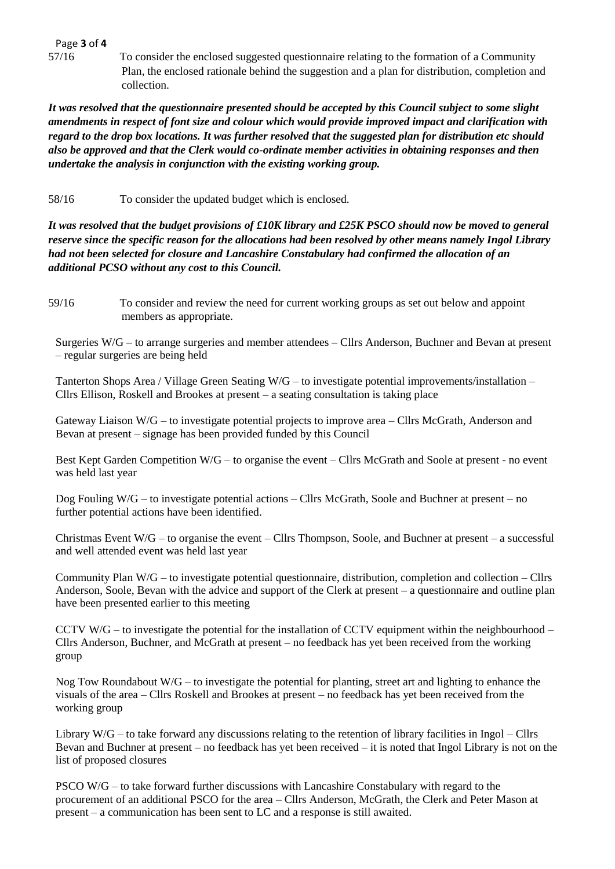Page **3** of **4**

57/16 To consider the enclosed suggested questionnaire relating to the formation of a Community Plan, the enclosed rationale behind the suggestion and a plan for distribution, completion and collection.

*It was resolved that the questionnaire presented should be accepted by this Council subject to some slight amendments in respect of font size and colour which would provide improved impact and clarification with regard to the drop box locations. It was further resolved that the suggested plan for distribution etc should also be approved and that the Clerk would co-ordinate member activities in obtaining responses and then undertake the analysis in conjunction with the existing working group.*

58/16 To consider the updated budget which is enclosed.

*It was resolved that the budget provisions of £10K library and £25K PSCO should now be moved to general reserve since the specific reason for the allocations had been resolved by other means namely Ingol Library had not been selected for closure and Lancashire Constabulary had confirmed the allocation of an additional PCSO without any cost to this Council.*

59/16 To consider and review the need for current working groups as set out below and appoint members as appropriate.

Surgeries W/G – to arrange surgeries and member attendees – Cllrs Anderson, Buchner and Bevan at present – regular surgeries are being held

Tanterton Shops Area / Village Green Seating W/G – to investigate potential improvements/installation – Cllrs Ellison, Roskell and Brookes at present – a seating consultation is taking place

Gateway Liaison W/G – to investigate potential projects to improve area – Cllrs McGrath, Anderson and Bevan at present – signage has been provided funded by this Council

Best Kept Garden Competition W/G – to organise the event – Cllrs McGrath and Soole at present - no event was held last year

Dog Fouling W/G – to investigate potential actions – Cllrs McGrath, Soole and Buchner at present – no further potential actions have been identified.

Christmas Event W/G – to organise the event – Cllrs Thompson, Soole, and Buchner at present – a successful and well attended event was held last year

Community Plan W/G – to investigate potential questionnaire, distribution, completion and collection – Cllrs Anderson, Soole, Bevan with the advice and support of the Clerk at present – a questionnaire and outline plan have been presented earlier to this meeting

CCTV W/G – to investigate the potential for the installation of CCTV equipment within the neighbourhood – Cllrs Anderson, Buchner, and McGrath at present – no feedback has yet been received from the working group

Nog Tow Roundabout  $W/G$  – to investigate the potential for planting, street art and lighting to enhance the visuals of the area – Cllrs Roskell and Brookes at present – no feedback has yet been received from the working group

Library W/G – to take forward any discussions relating to the retention of library facilities in Ingol – Cllrs Bevan and Buchner at present – no feedback has yet been received – it is noted that Ingol Library is not on the list of proposed closures

PSCO W/G – to take forward further discussions with Lancashire Constabulary with regard to the procurement of an additional PSCO for the area – Cllrs Anderson, McGrath, the Clerk and Peter Mason at present – a communication has been sent to LC and a response is still awaited.